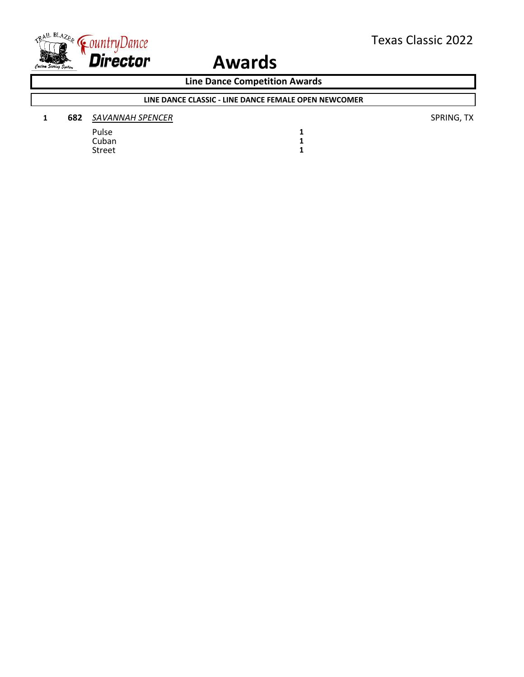

**Line Dance Competition Awards**

### **LINE DANCE CLASSIC - LINE DANCE FEMALE OPEN NEWCOMER**

| 682 | SAVANNAH SPENCER |
|-----|------------------|
|     |                  |

Pulse **1** Pulse 1<br>Cuban 1<br>Street 1 Street **1**

**1 682** *SAVANNAH SPENCER* SPRING, TX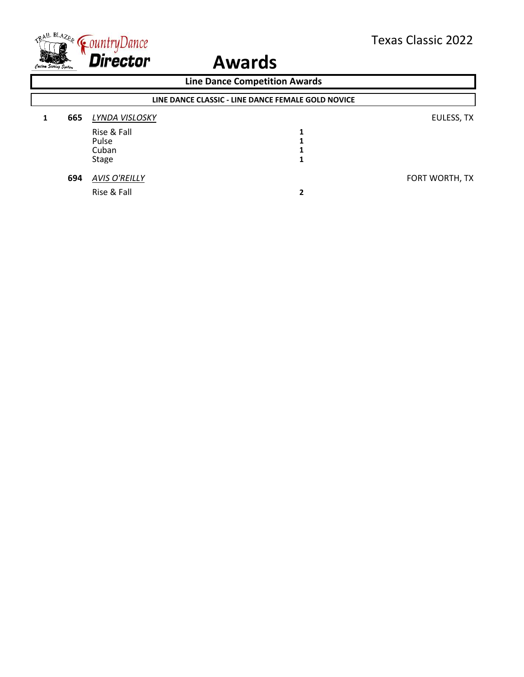

| <b>Line Dance Competition Awards</b>               |                      |                       |                |
|----------------------------------------------------|----------------------|-----------------------|----------------|
| LINE DANCE CLASSIC - LINE DANCE FEMALE GOLD NOVICE |                      |                       |                |
| 665                                                | LYNDA VISLOSKY       |                       | EULESS, TX     |
|                                                    | Rise & Fall          |                       |                |
|                                                    | Pulse                |                       |                |
|                                                    |                      |                       |                |
|                                                    |                      |                       |                |
| 694                                                | <b>AVIS O'REILLY</b> |                       | FORT WORTH, TX |
|                                                    | Rise & Fall          | 2                     |                |
|                                                    |                      | Cuban<br><b>Stage</b> |                |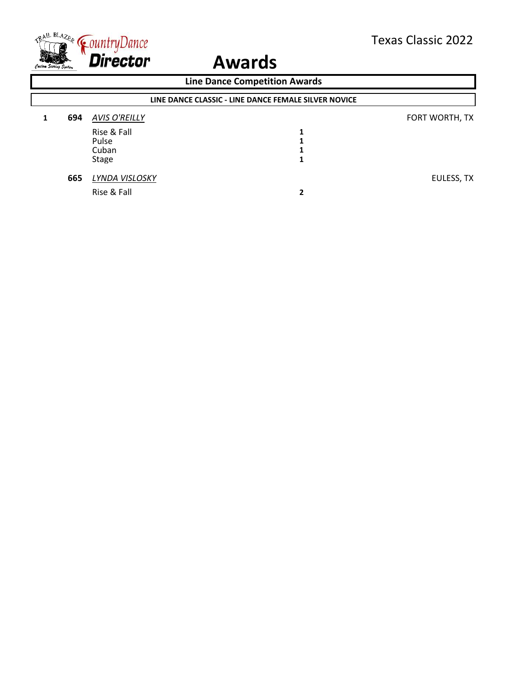

| <b>Line Dance Competition Awards</b> |                                                      |                      |   |                |
|--------------------------------------|------------------------------------------------------|----------------------|---|----------------|
|                                      | LINE DANCE CLASSIC - LINE DANCE FEMALE SILVER NOVICE |                      |   |                |
|                                      | 694                                                  | <b>AVIS O'REILLY</b> |   | FORT WORTH, TX |
|                                      |                                                      | Rise & Fall          | 1 |                |
|                                      |                                                      | Pulse                |   |                |
|                                      |                                                      | Cuban                |   |                |
|                                      |                                                      | <b>Stage</b>         |   |                |
|                                      | 665                                                  | LYNDA VISLOSKY       |   | EULESS, TX     |
|                                      |                                                      | Rise & Fall          |   |                |
|                                      |                                                      |                      |   |                |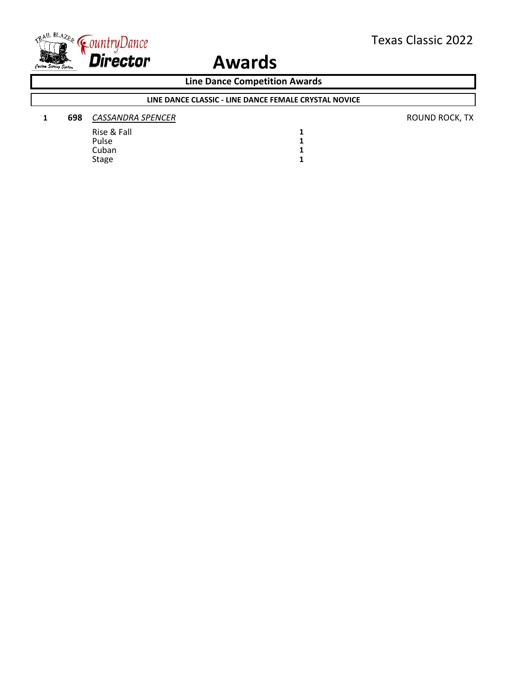

**Line Dance Competition Awards**

### **LINE DANCE CLASSIC - LINE DANCE FEMALE CRYSTAL NOVICE**

#### **1 698** *CASSANDRA SPENCER* **CASSANDRA SPENCER CASSANDRA SPENCER CASSANDRA SPENCER**

Rise & Fall **1** Pulse **1** Cuban 1<br>Stage 1 Stage **1**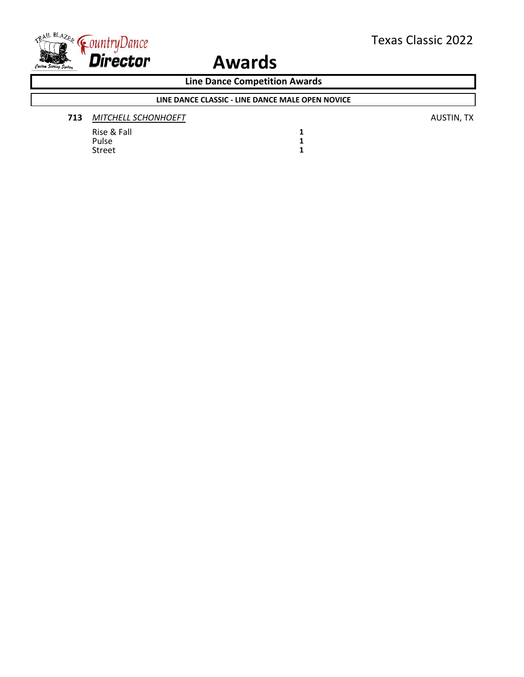

**Line Dance Competition Awards**

### **LINE DANCE CLASSIC - LINE DANCE MALE OPEN NOVICE**

| 713 | MITCHELL SCHONHOEFT | <b>AUSTIN, TX</b> |
|-----|---------------------|-------------------|
|-----|---------------------|-------------------|

Rise & Fall **1** Pulse **1** Street **1**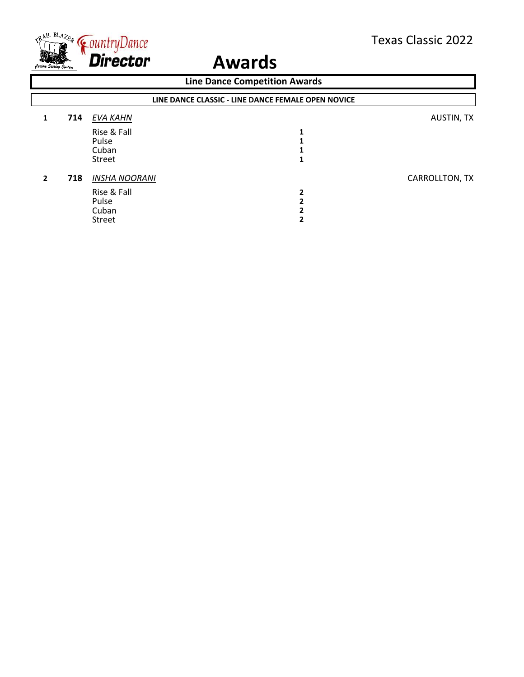

| <b>Line Dance Competition Awards</b> |                                                    |                                                                        |  |                |
|--------------------------------------|----------------------------------------------------|------------------------------------------------------------------------|--|----------------|
|                                      | LINE DANCE CLASSIC - LINE DANCE FEMALE OPEN NOVICE |                                                                        |  |                |
|                                      | 714                                                | EVA KAHN                                                               |  | AUSTIN, TX     |
|                                      |                                                    | Rise & Fall<br>Pulse<br>Cuban<br>Street                                |  |                |
| 2                                    | 718                                                | <b>INSHA NOORANI</b><br>Rise & Fall<br>Pulse<br>Cuban<br><b>Street</b> |  | CARROLLTON, TX |